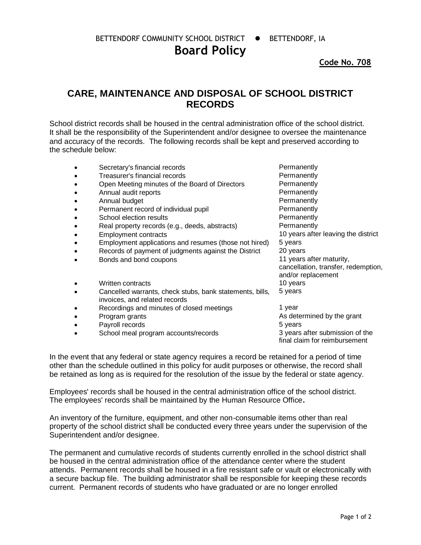BETTENDORF COMMUNITY SCHOOL DISTRICT  $\bullet$  BETTENDORF, IA

**Board Policy**

**Code No. 708**

## **CARE, MAINTENANCE AND DISPOSAL OF SCHOOL DISTRICT RECORDS**

School district records shall be housed in the central administration office of the school district. It shall be the responsibility of the Superintendent and/or designee to oversee the maintenance and accuracy of the records. The following records shall be kept and preserved according to the schedule below:

- Secretary's financial records **Permanently**
- Treasurer's financial records **Permanently Permanently**
- Open Meeting minutes of the Board of Directors Permanently
- Annual audit reports **Permanently**
- Annual budget **Permanently**
- Permanent record of individual pupil example and a Permanently
- **School election results Permanently**
- Real property records (e.g., deeds, abstracts) Permanently
- 
- Employment applications and resumes (those not hired) 5 years
- Records of payment of judgments against the District 20 years
- Bonds and bond coupons 11 years after maturity,
- Written contracts 10 years
- Cancelled warrants, check stubs, bank statements, bills, invoices, and related records
- Recordings and minutes of closed meetings and the 1 year
- 
- Payroll records **5 years** 5 years
- School meal program accounts/records 3 years after submission of the

• Employment contracts 10 years after leaving the district cancellation, transfer, redemption, and/or replacement 5 years

• Program grants **As determined by the grant** final claim for reimbursement

In the event that any federal or state agency requires a record be retained for a period of time other than the schedule outlined in this policy for audit purposes or otherwise, the record shall be retained as long as is required for the resolution of the issue by the federal or state agency.

Employees' records shall be housed in the central administration office of the school district. The employees' records shall be maintained by the Human Resource Office**.**

An inventory of the furniture, equipment, and other non-consumable items other than real property of the school district shall be conducted every three years under the supervision of the Superintendent and/or designee.

The permanent and cumulative records of students currently enrolled in the school district shall be housed in the central administration office of the attendance center where the student attends. Permanent records shall be housed in a fire resistant safe or vault or electronically with a secure backup file. The building administrator shall be responsible for keeping these records current. Permanent records of students who have graduated or are no longer enrolled